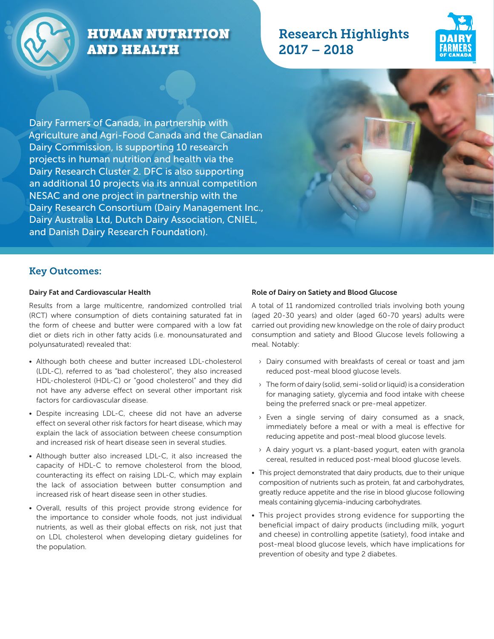

# HUMAN NUTRITION AND HEALTH

## Research Highlights 2017 – 2018



Dairy Farmers of Canada, in partnership with Agriculture and Agri-Food Canada and the Canadian Dairy Commission, is supporting 10 research projects in human nutrition and health via the Dairy Research Cluster 2. DFC is also supporting an additional 10 projects via its annual competition NESAC and one project in partnership with the Dairy Research Consortium (Dairy Management Inc., Dairy Australia Ltd, Dutch Dairy Association, CNIEL, and Danish Dairy Research Foundation).

### Key Outcomes:

#### Dairy Fat and Cardiovascular Health

Results from a large multicentre, randomized controlled trial (RCT) where consumption of diets containing saturated fat in the form of cheese and butter were compared with a low fat diet or diets rich in other fatty acids (i.e. monounsaturated and polyunsaturated) revealed that:

- Although both cheese and butter increased LDL-cholesterol (LDL-C), referred to as "bad cholesterol", they also increased HDL-cholesterol (HDL-C) or "good cholesterol" and they did not have any adverse effect on several other important risk factors for cardiovascular disease.
- Despite increasing LDL-C, cheese did not have an adverse effect on several other risk factors for heart disease, which may explain the lack of association between cheese consumption and increased risk of heart disease seen in several studies.
- Although butter also increased LDL-C, it also increased the capacity of HDL-C to remove cholesterol from the blood, counteracting its effect on raising LDL-C, which may explain the lack of association between butter consumption and increased risk of heart disease seen in other studies.
- Overall, results of this project provide strong evidence for the importance to consider whole foods, not just individual nutrients, as well as their global effects on risk, not just that on LDL cholesterol when developing dietary guidelines for the population.

#### Role of Dairy on Satiety and Blood Glucose

A total of 11 randomized controlled trials involving both young (aged 20-30 years) and older (aged 60-70 years) adults were carried out providing new knowledge on the role of dairy product consumption and satiety and Blood Glucose levels following a meal. Notably:

- › Dairy consumed with breakfasts of cereal or toast and jam reduced post-meal blood glucose levels.
- $\rightarrow$  The form of dairy (solid, semi-solid or liquid) is a consideration for managing satiety, glycemia and food intake with cheese being the preferred snack or pre-meal appetizer.
- › Even a single serving of dairy consumed as a snack, immediately before a meal or with a meal is effective for reducing appetite and post-meal blood glucose levels.
- › A dairy yogurt vs. a plant-based yogurt, eaten with granola cereal, resulted in reduced post-meal blood glucose levels.
- This project demonstrated that dairy products, due to their unique composition of nutrients such as protein, fat and carbohydrates, greatly reduce appetite and the rise in blood glucose following meals containing glycemia-inducing carbohydrates.
- This project provides strong evidence for supporting the beneficial impact of dairy products (including milk, yogurt and cheese) in controlling appetite (satiety), food intake and post-meal blood glucose levels, which have implications for prevention of obesity and type 2 diabetes.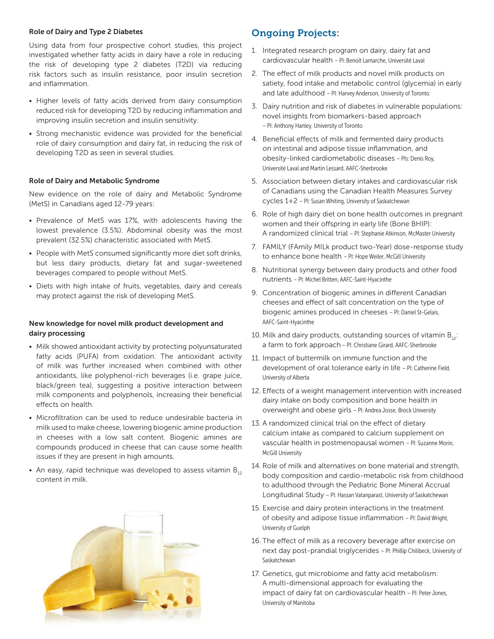#### Role of Dairy and Type 2 Diabetes

Using data from four prospective cohort studies, this project investigated whether fatty acids in dairy have a role in reducing the risk of developing type 2 diabetes (T2D) via reducing risk factors such as insulin resistance, poor insulin secretion and inflammation.

- Higher levels of fatty acids derived from dairy consumption reduced risk for developing T2D by reducing inflammation and improving insulin secretion and insulin sensitivity.
- Strong mechanistic evidence was provided for the beneficial role of dairy consumption and dairy fat, in reducing the risk of developing T2D as seen in several studies.

#### Role of Dairy and Metabolic Syndrome

New evidence on the role of dairy and Metabolic Syndrome (MetS) in Canadians aged 12-79 years:

- Prevalence of MetS was 17%, with adolescents having the lowest prevalence (3.5%). Abdominal obesity was the most prevalent (32.5%) characteristic associated with MetS.
- People with MetS consumed significantly more diet soft drinks, but less dairy products, dietary fat and sugar-sweetened beverages compared to people without MetS.
- Diets with high intake of fruits, vegetables, dairy and cereals may protect against the risk of developing MetS.

#### New knowledge for novel milk product development and dairy processing

- Milk showed antioxidant activity by protecting polyunsaturated fatty acids (PUFA) from oxidation. The antioxidant activity of milk was further increased when combined with other antioxidants, like polyphenol-rich beverages (i.e. grape juice, black/green tea), suggesting a positive interaction between milk components and polyphenols, increasing their beneficial effects on health.
- Microfiltration can be used to reduce undesirable bacteria in milk used to make cheese, lowering biogenic amine production in cheeses with a low salt content. Biogenic amines are compounds produced in cheese that can cause some health issues if they are present in high amounts.
- An easy, rapid technique was developed to assess vitamin  $B_{12}$ content in milk.



### Ongoing Projects:

- 1. Integrated research program on dairy, dairy fat and cardiovascular health – PI: Benoît Lamarche, Université Laval
- 2. The effect of milk products and novel milk products on satiety, food intake and metabolic control (glycemia) in early and late adulthood – PI: Harvey Anderson, University of Toronto
- 3. Dairy nutrition and risk of diabetes in vulnerable populations: novel insights from biomarkers-based approach – PI: Anthony Hanley, University of Toronto
- 4. Beneficial effects of milk and fermented dairy products on intestinal and adipose tissue inflammation, and obesity-linked cardiometabolic diseases – PIs: Denis Roy, Université Laval and Martin Lessard, AAFC-Sherbrooke
- 5. Association between dietary intakes and cardiovascular risk of Canadians using the Canadian Health Measures Survey cycles 1+2 – PI: Susan Whiting, University of Saskatchewan
- 6. Role of high dairy diet on bone health outcomes in pregnant women and their offspring in early life (Bone BHIP): A randomized clinical trial – PI: Stephanie Atkinson, McMaster University
- 7. FAMILY (FAmily MILk product two-Year) dose-response study to enhance bone health – PI: Hope Weiler, McGill University
- 8. Nutritional synergy between dairy products and other food nutrients – PI: Michel Britten, AAFC-Saint-Hyacinthe
- 9. Concentration of biogenic amines in different Canadian cheeses and effect of salt concentration on the type of biogenic amines produced in cheeses – PI: Daniel St-Gelais, AAFC-Saint-Hyacinthe
- 10. Milk and dairy products, outstanding sources of vitamin  $B_{12}$ : a farm to fork approach – PI: Christiane Girard, AAFC-Sherbrooke
- 11. Impact of buttermilk on immune function and the development of oral tolerance early in life – PI: Catherine Field, University of Alberta
- 12. Effects of a weight management intervention with increased dairy intake on body composition and bone health in overweight and obese girls – PI: Andrea Josse, Brock University
- 13. A randomized clinical trial on the effect of dietary calcium intake as compared to calcium supplement on vascular health in postmenopausal women – PI: Suzanne Morin, McGill University
- 14. Role of milk and alternatives on bone material and strength, body composition and cardio-metabolic risk from childhood to adulthood through the Pediatric Bone Mineral Accrual Longitudinal Study – PI: Hassan Vatanparast, University of Saskatchewan
- 15. Exercise and dairy protein interactions in the treatment of obesity and adipose tissue inflammation – PI: David Wright, University of Guelph
- 16. The effect of milk as a recovery beverage after exercise on next day post-prandial triglycerides – PI: Phillip Chilibeck, University of Saskatchewan
- 17. Genetics, gut microbiome and fatty acid metabolism: A multi-dimensional approach for evaluating the impact of dairy fat on cardiovascular health – PI: Peter Jones, University of Manitoba